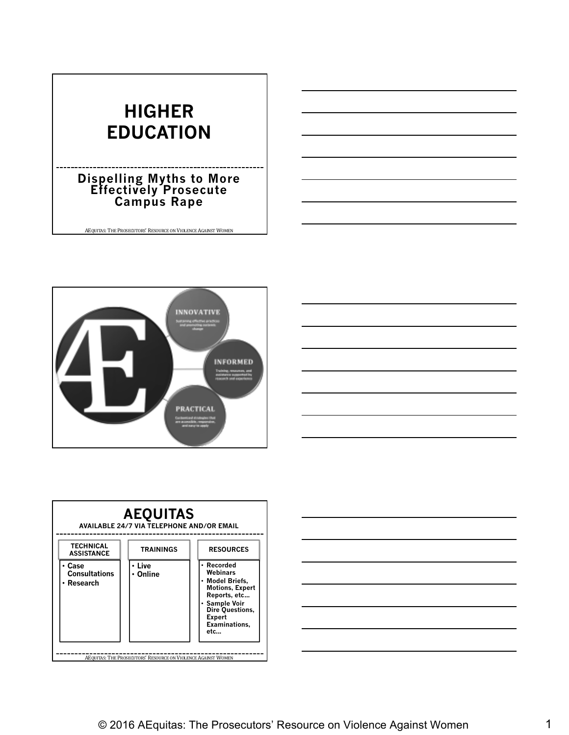# **HIGHER EDUCATION**

# **Dispelling Myths to More Effectively Prosecute Campus Rape**







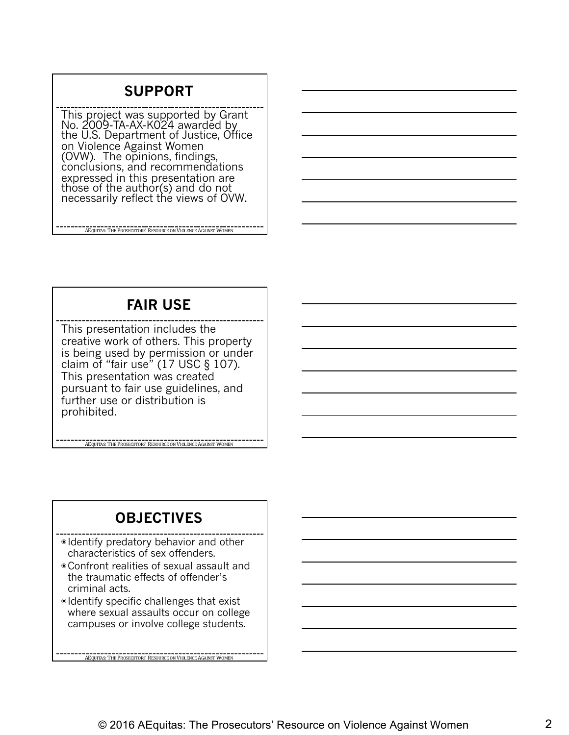## **SUPPORT**

This project was supported by Grant No. 2009-TA-AX-K024 awardéd by<br>the U.S. Department of Justice, Office on Violence Against Women (OVW). The opinions, findings,<br>conclusions, and recommendations expressed in this presentation are those of the author(s) and do not necessarily reflect the views of OVW.

AEQUITAS: THE PROSECUTORS' RESOURCE ON VIOLENCE AGAINST WOMEN

**FAIR USE**

This presentation includes the creative work of others. This property is being used by permission or under claim of "fair use" (17 USC § 107). This presentation was created pursuant to fair use guidelines, and further use or distribution is prohibited.

**AEQUITAS:** THE PROSECUTORS' RESOURCE ON VIOLENCE AGAINST WOM

## **OBJECTIVES**

◉ Identify predatory behavior and other characteristics of sex offenders.

- ◉Confront realities of sexual assault and the traumatic effects of offender's criminal acts.
- ◉ Identify specific challenges that exist where sexual assaults occur on college campuses or involve college students.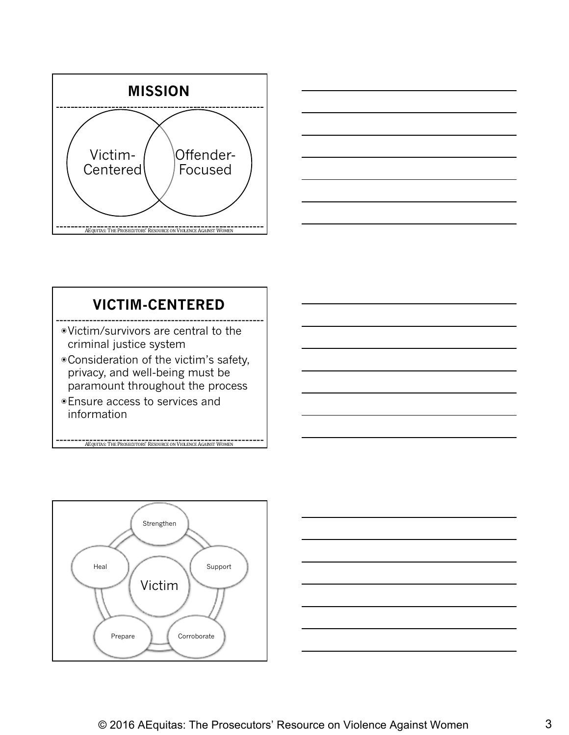



### **VICTIM-CENTERED**

- ◉Victim/survivors are central to the criminal justice system
- ◉Consideration of the victim's safety, privacy, and well-being must be paramount throughout the process

**AEQUITAS:** THE PROSECUTORS' RESOURCE ON VIOLENCE AGAINST WOMEN

◉Ensure access to services and information



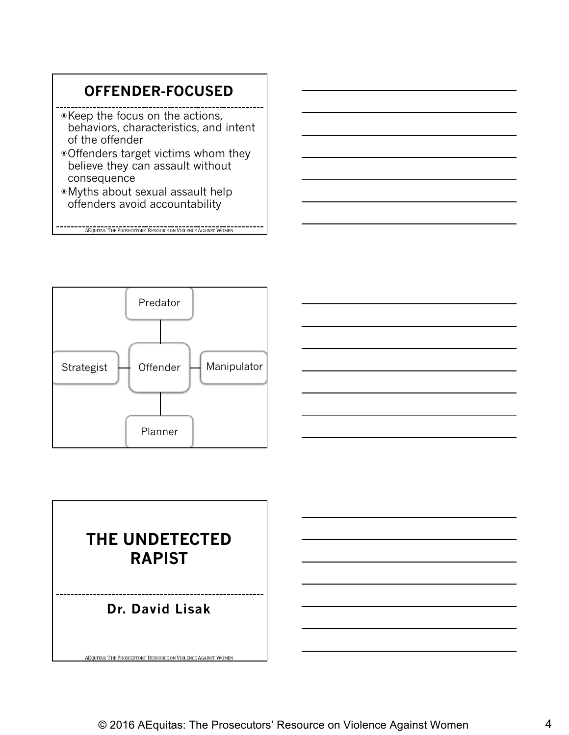# **OFFENDER-FOCUSED**

- ◉Keep the focus on the actions, behaviors, characteristics, and intent of the offender
- ◉Offenders target victims whom they believe they can assault without consequence
- ◉Myths about sexual assault help offenders avoid accountability

AEQUITAS: THE PROSECUTORS' RESOURCE ON VIOLENCE AGAINST WOMEN





# **THE UNDETECTED RAPIST**

**Dr. David Lisak**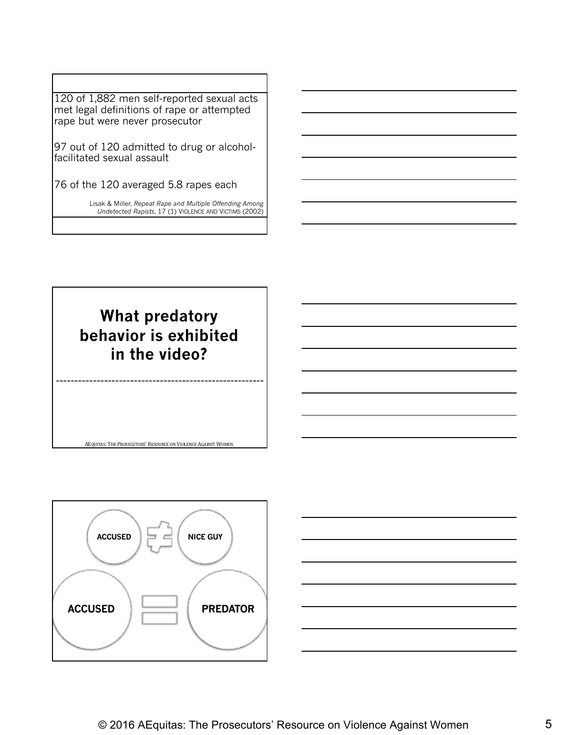120 of 1,882 men self-reported sexual acts met legal definitions of rape or attempted rape but were never prosecutor

97 out of 120 admitted to drug or alcoholfacilitated sexual assault

76 of the 120 averaged 5.8 rapes each

Lisak & Miller, *Repeat Rape and Multiple Offending Among Undetected Rapists*, 17 (1) VIOLENCE AND VICTIMS (2002)





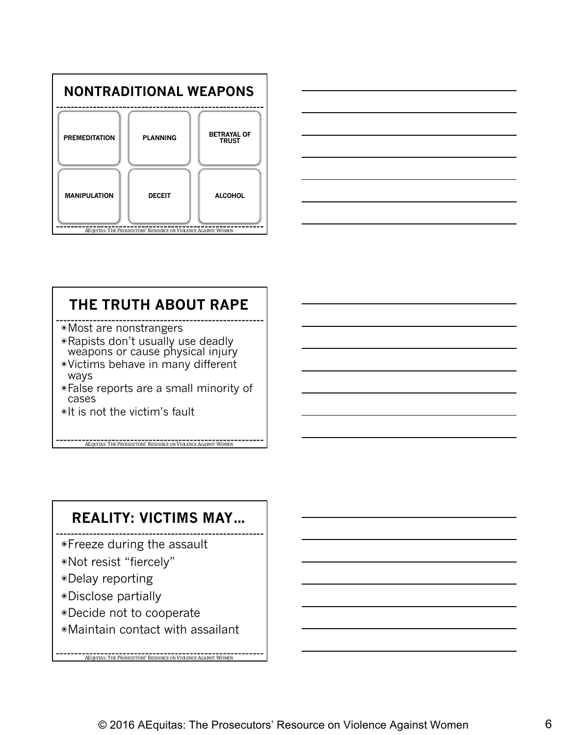



### **THE TRUTH ABOUT RAPE**

- ◉Most are nonstrangers
- ◉Rapists don't usually use deadly weapons or cause physical injury
- ◉Victims behave in many different ways
- ◉False reports are a small minority of cases

**AEQUITAS:** THE PROSECUTORS' RESOURCE ON VIOLENCE AGAINST WOMEN

◉It is not the victim's fault

# **REALITY: VICTIMS MAY…**

- ◉Freeze during the assault
- ◉Not resist "fiercely"
- ◉Delay reporting
- ◉Disclose partially
- ◉Decide not to cooperate
- ◉Maintain contact with assailant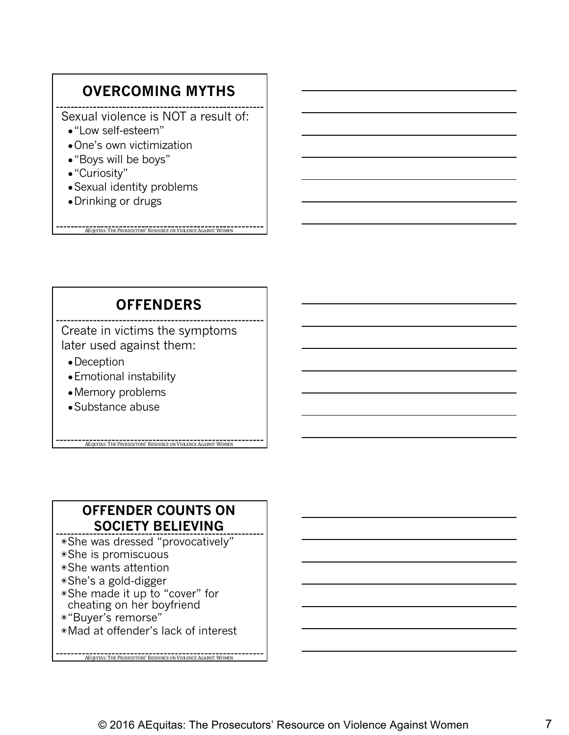# **OVERCOMING MYTHS**

Sexual violence is NOT a result of:

- ●"Low self-esteem"
- One's own victimization
- ●"Boys will be boys"
- ●"Curiosity"
- Sexual identity problems
- Drinking or drugs

**OFFENDERS**

**AEQUITAS: THE PROSECUTORS' RESOURCE ON VIOLENCE AGAINST WOMEN** 

Create in victims the symptoms later used against them:

- Deception
- ●Emotional instability
- ●Memory problems
- ●Substance abuse

#### **OFFENDER COUNTS ON SOCIETY BELIEVING**

**ACQUITAS:** THE PROSECUTORS' RESOURCE ON VIOLENCE AGAINST WOMEN

- ◉She was dressed "provocatively"
- ◉She is promiscuous
- ◉She wants attention
- ◉She's a gold-digger
- ◉She made it up to "cover" for cheating on her boyfriend
- ◉"Buyer's remorse"
- ◉Mad at offender's lack of interest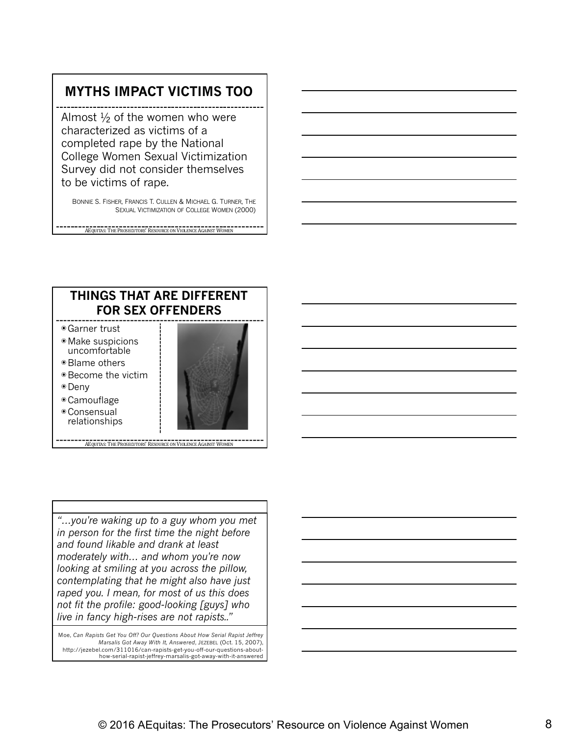### **MYTHS IMPACT VICTIMS TOO**

Almost  $\frac{1}{2}$  of the women who were characterized as victims of a completed rape by the National College Women Sexual Victimization Survey did not consider themselves to be victims of rape.

BONNIE S. FISHER, FRANCIS T. CULLEN & MICHAEL G. TURNER, THE SEXUAL VICTIMIZATION OF COLLEGE WOMEN (2000)

**AEQUITAS: THE PROSECUTORS' RESOURCE ON VIOLENCE AGAINST WOMEN** 



*"…you're waking up to a guy whom you met in person for the first time the night before and found likable and drank at least moderately with… and whom you're now looking at smiling at you across the pillow, contemplating that he might also have just raped you. I mean, for most of us this does not fit the profile: good-looking [guys] who live in fancy high-rises are not rapists.."*

Moe, *Can Rapists Get You Off? Our Questions About How Serial Rapist Jeffrey Marsalis Got Away With It, Answered*, JEZEBEL (Oct. 15, 2007), http://jezebel.com/311016/can-rapists-get-you-off-our-questions-abouthow-serial-rapist-jeffrey-marsalis-got-away-with-it-answered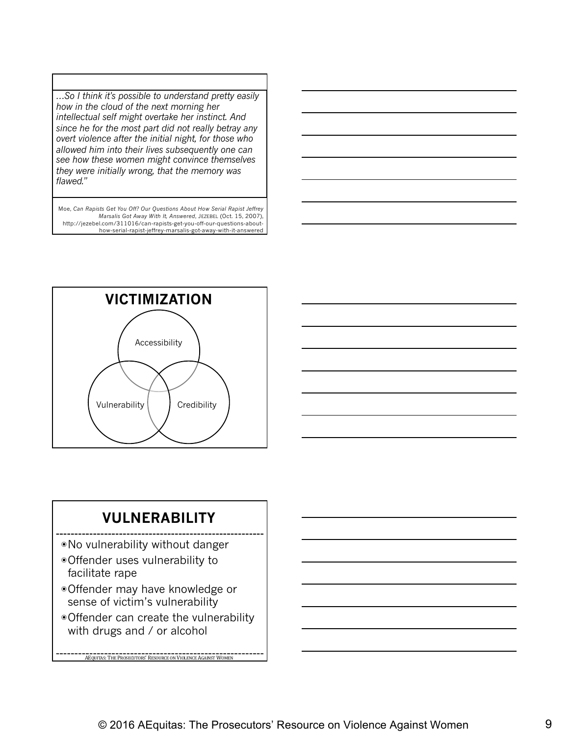*…So I think it's possible to understand pretty easily how in the cloud of the next morning her intellectual self might overtake her instinct. And since he for the most part did not really betray any overt violence after the initial night, for those who allowed him into their lives subsequently one can see how these women might convince themselves they were initially wrong, that the memory was flawed."*

Moe, *Can Rapists Get You Off? Our Questions About How Serial Rapist Jeffrey Marsalis Got Away With It, Answered*, JEZEBEL (Oct. 15, 2007), http://jezebel.com/311016/can-rapists-get-you-off-our-questions-abouthow-serial-rapist-jeffrey-marsalis-got-away-with-it-answered





### **VULNERABILITY**

- ◉No vulnerability without danger
- ◉Offender uses vulnerability to facilitate rape
- ◉Offender may have knowledge or sense of victim's vulnerability
- ◉Offender can create the vulnerability with drugs and / or alcohol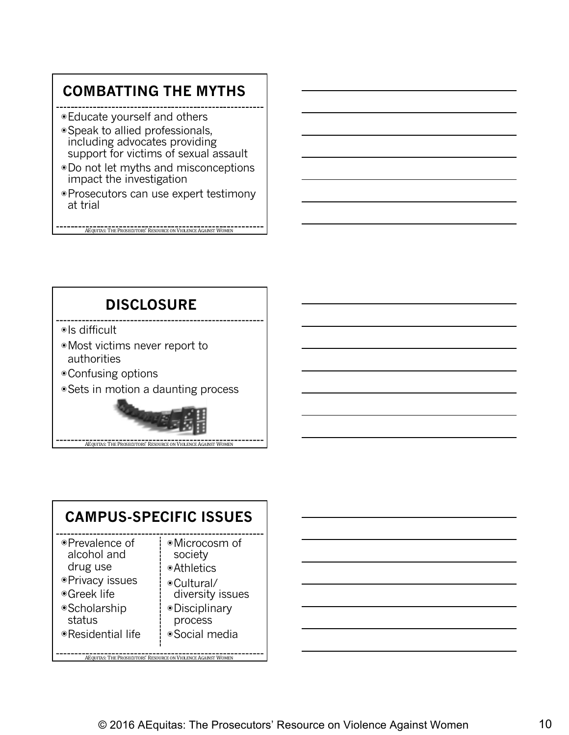# **COMBATTING THE MYTHS**

◉Educate yourself and others

- ◉Speak to allied professionals, including advocates providing support for victims of sexual assault
- ◉Do not let myths and misconceptions impact the investigation
- ◉Prosecutors can use expert testimony at trial



| <b>CAMPUS-SPECIFIC ISSUES</b>                                                                                                 |                                                                                                                         |
|-------------------------------------------------------------------------------------------------------------------------------|-------------------------------------------------------------------------------------------------------------------------|
| ●Prevalence of<br>alcohol and<br>drug use<br>· Privacy issues<br>●Greek life<br>● Scholarship<br>status<br>● Residential life | ·Microcosm of<br>society<br>● Athletics<br>●Cultural/<br>diversity issues<br>·Disciplinary<br>process<br>● Social media |
| AEQUITAS: THE PROSECUTORS' RESOURCE ON VIOLENCE AGAINST WOMEN                                                                 |                                                                                                                         |

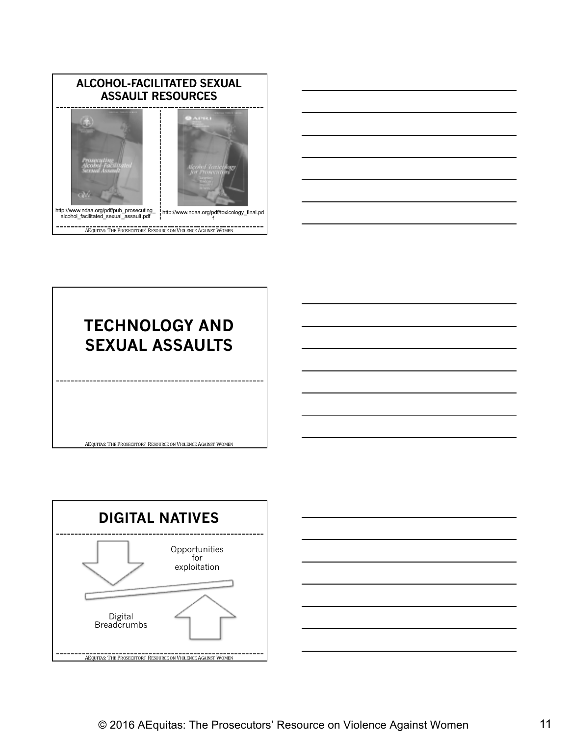







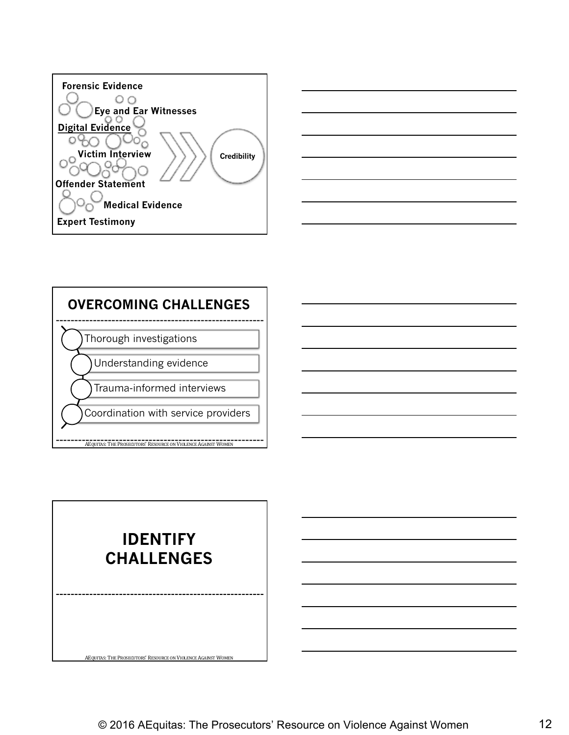





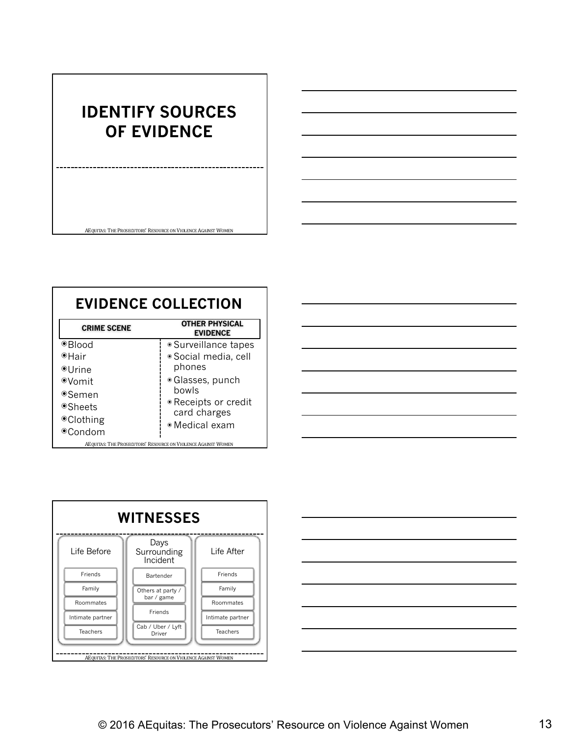# **IDENTIFY SOURCES OF EVIDENCE**

| <b>EVIDENCE COLLECTION</b>                                                               |                                                                                                                             |  |
|------------------------------------------------------------------------------------------|-----------------------------------------------------------------------------------------------------------------------------|--|
| <b>CRIME SCENE</b>                                                                       | <b>OTHER PHYSICAL</b><br><b>EVIDENCE</b>                                                                                    |  |
| <sup>●</sup> Blood<br>⊛Hair<br>⊛Urine<br>®Vomit<br>®Semen<br>⊕Sheets<br><b>●Clothing</b> | · Surveillance tapes<br>· Social media, cell<br>phones<br>· Glasses, punch<br>bowls<br>• Receipts or credit<br>card charges |  |
| ⊕Condom                                                                                  | · Medical exam<br>AEQUITAS: THE PROSECUTORS' RESOURCE ON VIOLENCE AGAINST WOMEN                                             |  |





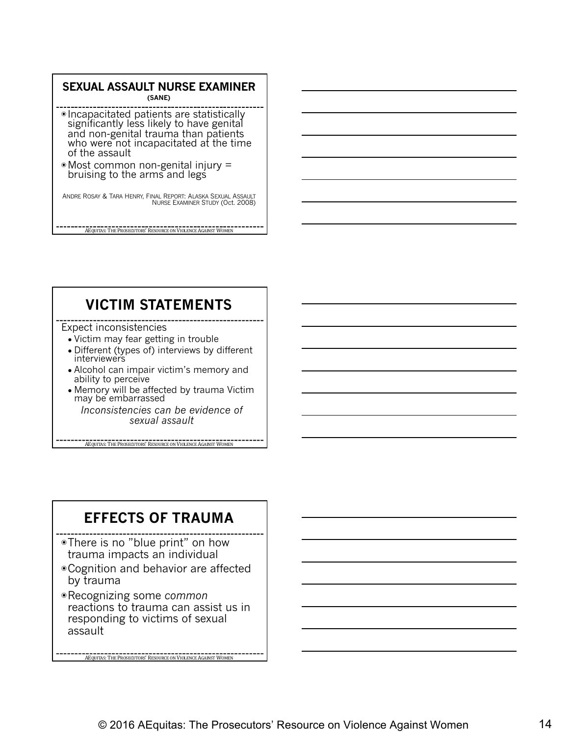#### **SEXUAL ASSAULT NURSE EXAMINER**

**(SANE)** 

- ◉ Incapacitated patients are statistically significantly less likely to have genital<br>and non-genital trauma than patients who were not incapacitated at the time of the assault
- ◉Most common non-genital injury = bruising to the arms and legs

ANDRE ROSAY & TARA HENRY, FINAL REPORT: ALASKA SEXUAL ASSAULT NURSE EXAMINER STUDY (Oct. 2008)

**AEQUITAS:** THE PROSECUTORS' RESOURCE ON VIOLENCE AGAINST WOMEN

**VICTIM STATEMENTS**

Expect inconsistencies

- Victim may fear getting in trouble
- Different (types of) interviews by different interviewers
- Alcohol can impair victim's memory and ability to perceive
- Memory will be affected by trauma Victim may be embarrassed

*Inconsistencies can be evidence of sexual assault*

**AEQUITAS: THE PROSECUTORS' RESOURCE ON VIOLENCE AGAINST WOMEN** 

**EFFECTS OF TRAUMA**

- ◉There is no "blue print" on how trauma impacts an individual
- ◉Cognition and behavior are affected by trauma
- ◉Recognizing some *common*  reactions to trauma can assist us in responding to victims of sexual assault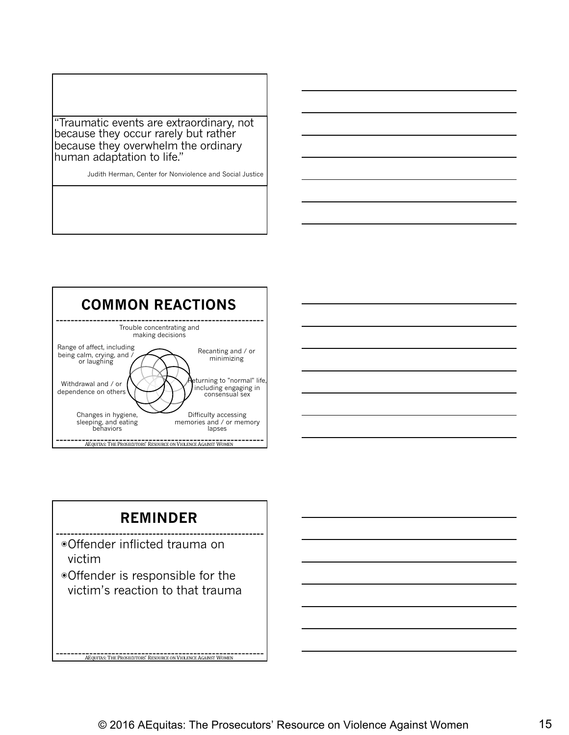"Traumatic events are extraordinary, not because they occur rarely but rather because they overwhelm the ordinary human adaptation to life."

Judith Herman, Center for Nonviolence and Social Justice



### **REMINDER**

◉Offender inflicted trauma on victim

◉Offender is responsible for the victim's reaction to that trauma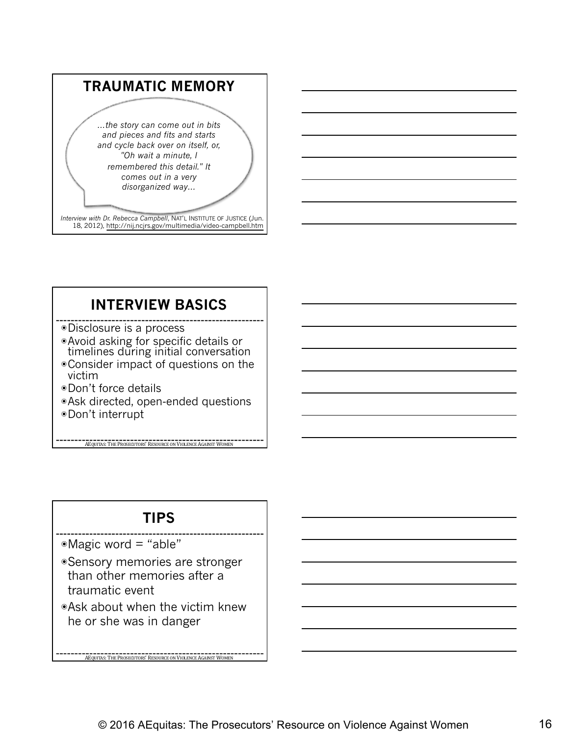

### **INTERVIEW BASICS**

- ◉Disclosure is a process
- ◉Avoid asking for specific details or timelines during initial conversation
- ◉Consider impact of questions on the victim
- ◉Don't force details
- ◉Ask directed, open-ended questions

**AEQUITAS:** THE PROSECUTORS' RESOURCE ON VIOLENCE AGAINST WOMEN

◉Don't interrupt

**TIPS**

◉Magic word = "able"

- ◉Sensory memories are stronger than other memories after a traumatic event
- ◉Ask about when the victim knew he or she was in danger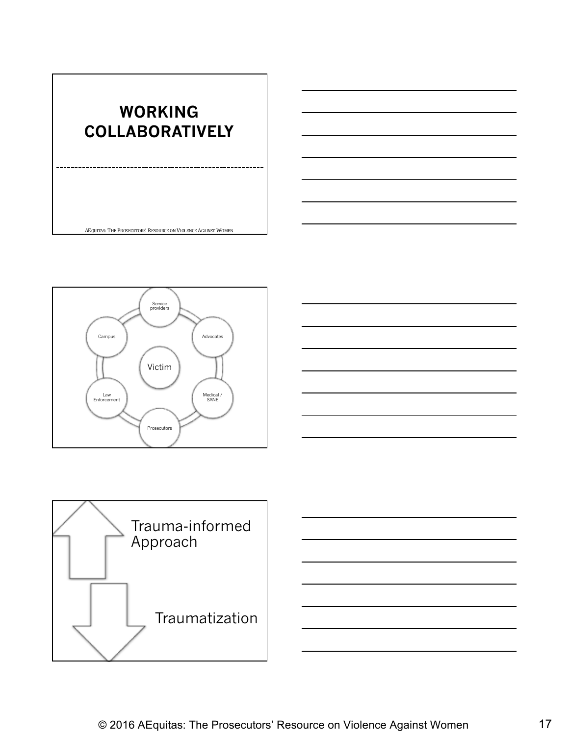